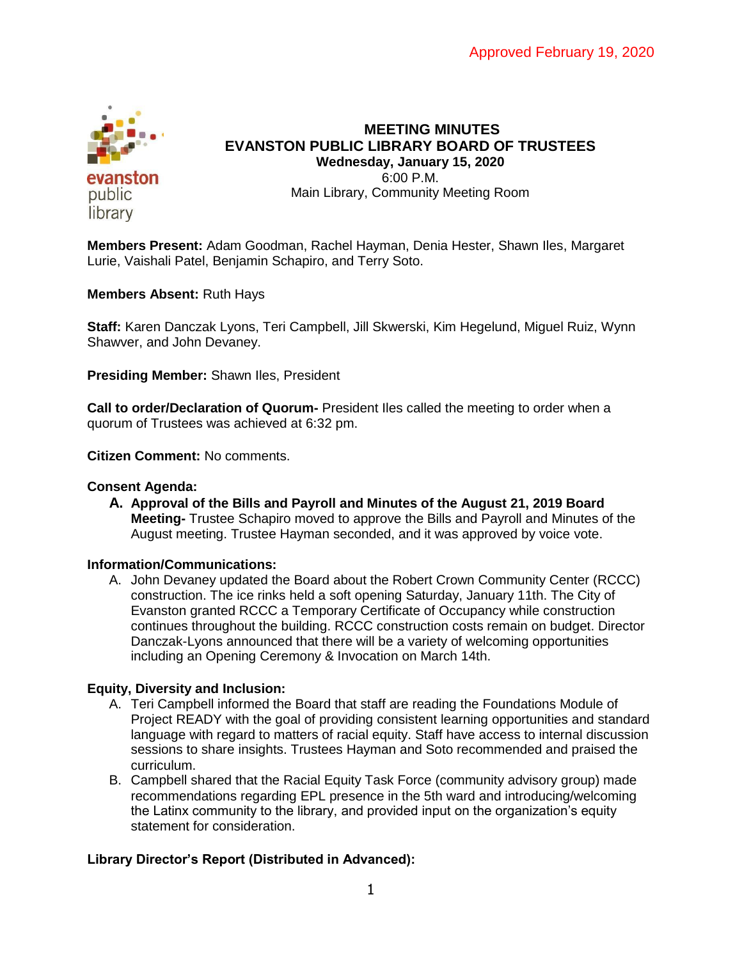

# **MEETING MINUTES EVANSTON PUBLIC LIBRARY BOARD OF TRUSTEES Wednesday, January 15, 2020** 6:00 P.M. Main Library, Community Meeting Room

**Members Present:** Adam Goodman, Rachel Hayman, Denia Hester, Shawn Iles, Margaret Lurie, Vaishali Patel, Benjamin Schapiro, and Terry Soto.

**Members Absent:** Ruth Hays

**Staff:** Karen Danczak Lyons, Teri Campbell, Jill Skwerski, Kim Hegelund, Miguel Ruiz, Wynn Shawver, and John Devaney.

**Presiding Member:** Shawn Iles, President

**Call to order/Declaration of Quorum-** President Iles called the meeting to order when a quorum of Trustees was achieved at 6:32 pm.

**Citizen Comment:** No comments.

## **Consent Agenda:**

**A. Approval of the Bills and Payroll and Minutes of the August 21, 2019 Board Meeting-** Trustee Schapiro moved to approve the Bills and Payroll and Minutes of the August meeting. Trustee Hayman seconded, and it was approved by voice vote.

## **Information/Communications:**

A. John Devaney updated the Board about the Robert Crown Community Center (RCCC) construction. The ice rinks held a soft opening Saturday, January 11th. The City of Evanston granted RCCC a Temporary Certificate of Occupancy while construction continues throughout the building. RCCC construction costs remain on budget. Director Danczak-Lyons announced that there will be a variety of welcoming opportunities including an Opening Ceremony & Invocation on March 14th.

## **Equity, Diversity and Inclusion:**

- A. Teri Campbell informed the Board that staff are reading the Foundations Module of Project READY with the goal of providing consistent learning opportunities and standard language with regard to matters of racial equity. Staff have access to internal discussion sessions to share insights. Trustees Hayman and Soto recommended and praised the curriculum.
- B. Campbell shared that the Racial Equity Task Force (community advisory group) made recommendations regarding EPL presence in the 5th ward and introducing/welcoming the Latinx community to the library, and provided input on the organization's equity statement for consideration.

## **Library Director's Report (Distributed in Advanced):**